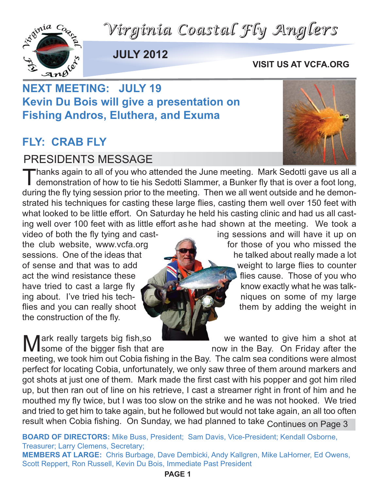



**JULY 2012**

#### **VISIT US AT VCFA.ORG**

### **NEXT MEETING: JULY 19 Kevin Du Bois will give a presentation on Fishing Andros, Eluthera, and Exuma**

### **FLY: CRAB FLY**

#### PRESIDENTS MESSAGE

Thanks again to all of you who attended the June meeting. Mark Sedotti gave us all a<br>demonstration of how to tie his Sedotti Slammer, a Bunker fly that is over a foot long, during the fly tying session prior to the meeting. Then we all went outside and he demonstrated his techniques for casting these large flies, casting them well over 150 feet with what looked to be little effort. On Saturday he held his casting clinic and had us all casting well over 100 feet with as little effort ashe had shown at the meeting. We took a video of both the fly tying and cast- ing sessions and will have it up on

the construction of the fly.

the club website, www.vcfa.org for those of you who missed the sessions. One of the ideas that he talked about really made a lot of sense and that was to add weight to large flies to counter act the wind resistance these flies of you who have tried to cast a large fly  $\mathbb{R}$  know exactly what he was talking about. I've tried his tech- niques on some of my large flies and you can really shoot them by adding the weight in

Mark really targets big fish,so we wanted to give him a shot at we wanted to give him a shot at now in the Bay. On Friday after the now in the Bay. On Friday after the meeting, we took him out Cobia fishing in the Bay. The calm sea conditions were almost perfect for locating Cobia, unfortunately, we only saw three of them around markers and got shots at just one of them. Mark made the first cast with his popper and got him riled up, but then ran out of line on his retrieve, I cast a streamer right in front of him and he mouthed my fly twice, but I was too slow on the strike and he was not hooked. We tried and tried to get him to take again, but he followed but would not take again, an all too often result when Cobia fishing. On Sunday, we had planned to take Continues on Page 3

**BOARD OF DIRECTORS:** Mike Buss, President; Sam Davis, Vice-President; Kendall Osborne, Treasurer; Larry Clemens, Secretary;

**MEMBERS AT LARGE:** Chris Burbage, Dave Dembicki, Andy Kallgren, Mike LaHorner, Ed Owens, Scott Reppert, Ron Russell, Kevin Du Bois, Immediate Past President

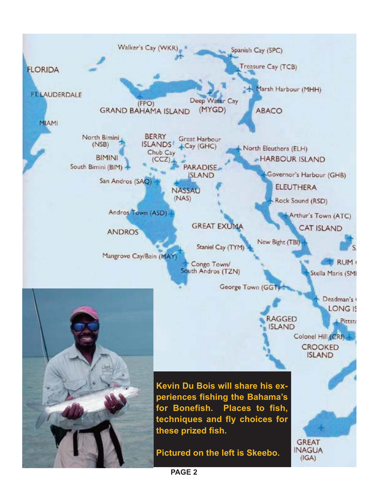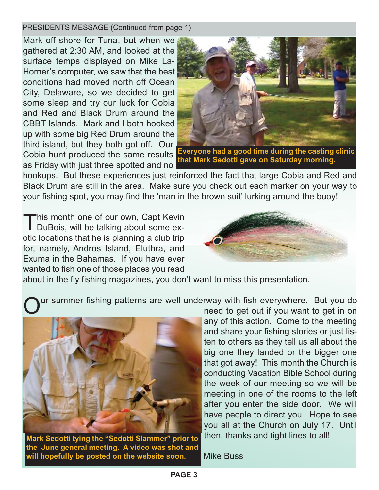#### PRESIDENTS MESSAGE (Continued from page 1)

Mark off shore for Tuna, but when we gathered at 2:30 AM, and looked at the surface temps displayed on Mike La-Horner's computer, we saw that the best conditions had moved north off Ocean City, Delaware, so we decided to get some sleep and try our luck for Cobia and Red and Black Drum around the CBBT Islands. Mark and I both hooked up with some big Red Drum around the third island, but they both got off. Our Cobia hunt produced the same results as Friday with just three spotted and no



**that Mark Sedotti gave on Saturday morning.** 

hookups. But these experiences just reinforced the fact that large Cobia and Red and Black Drum are still in the area. Make sure you check out each marker on your way to your fishing spot, you may find the 'man in the brown suit' lurking around the buoy!

This month one of our own, Capt Kevin<br>DuBois, will be talking about some exotic locations that he is planning a club trip for, namely, Andros Island, Eluthra, and Exuma in the Bahamas. If you have ever wanted to fish one of those places you read



about in the fly fishing magazines, you don't want to miss this presentation.

ur summer fishing patterns are well underway with fish everywhere. But you do



**Mark Sedotti tying the "Sedotti Slammer" prior to the June general meeting. A video was shot and will hopefully be posted on the website soon.**

need to get out if you want to get in on any of this action. Come to the meeting and share your fishing stories or just listen to others as they tell us all about the big one they landed or the bigger one that got away! This month the Church is conducting Vacation Bible School during the week of our meeting so we will be meeting in one of the rooms to the left after you enter the side door. We will have people to direct you. Hope to see you all at the Church on July 17. Until then, thanks and tight lines to all!

Mike Buss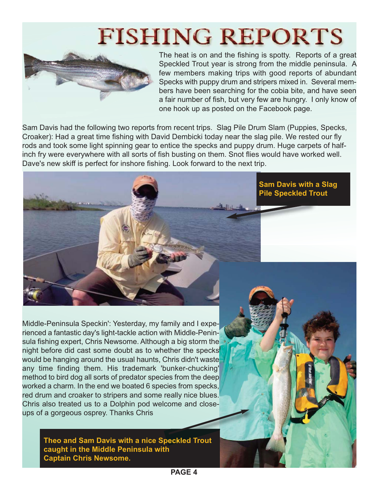# **FISHING REPORTS**



The heat is on and the fishing is spotty. Reports of a great Speckled Trout year is strong from the middle peninsula. A few members making trips with good reports of abundant Specks with puppy drum and stripers mixed in. Several members have been searching for the cobia bite, and have seen a fair number of fish, but very few are hungry. I only know of one hook up as posted on the Facebook page.

Sam Davis had the following two reports from recent trips. Slag Pile Drum Slam (Puppies, Specks, Croaker): Had a great time fishing with David Dembicki today near the slag pile. We rested our fly rods and took some light spinning gear to entice the specks and puppy drum. Huge carpets of halfinch fry were everywhere with all sorts of fish busting on them. Snot flies would have worked well. Dave's new skiff is perfect for inshore fishing. Look forward to the next trip.



Middle-Peninsula Speckin': Yesterday, my family and I experienced a fantastic day's light-tackle action with Middle-Peninsula fishing expert, Chris Newsome. Although a big storm the night before did cast some doubt as to whether the specks would be hanging around the usual haunts, Chris didn't waste any time finding them. His trademark 'bunker-chucking' method to bird dog all sorts of predator species from the deep worked a charm. In the end we boated 6 species from specks, red drum and croaker to stripers and some really nice blues. Chris also treated us to a Dolphin pod welcome and closeups of a gorgeous osprey. Thanks Chris

> **Theo and Sam Davis with a nice Speckled Trout caught in the Middle Peninsula with Captain Chris Newsome.**